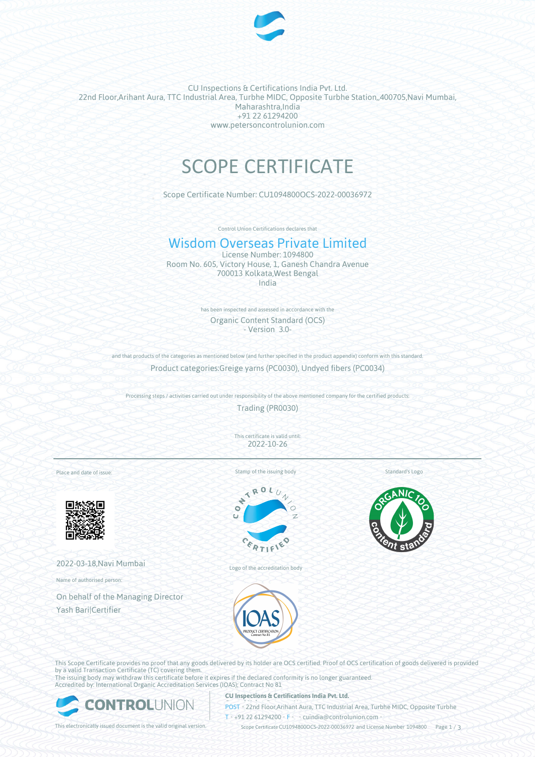

CU Inspections & Certifications India Pvt. Ltd. 22nd Floor,Arihant Aura, TTC Industrial Area, Turbhe MIDC, Opposite Turbhe Station,,400705,Navi Mumbai, Maharashtra,India +91 22 61294200 www.petersoncontrolunion.com

# SCOPE CERTIFICATE

Scope Certificate Number: CU1094800OCS-2022-00036972

Control Union Certifications declares that

## Wisdom Overseas Private Limited

License Number: 1094800 Room No. 605, Victory House, 1, Ganesh Chandra Avenue 700013 Kolkata,West Bengal India

> has been inspected and assessed in accordance with the Organic Content Standard (OCS) - Version 3.0-

and that products of the categories as mentioned below (and further specified in the product appendix) conform with this standard Product categories:Greige yarns (PC0030), Undyed fibers (PC0034)

Processing steps / activities carried out under responsibility of the above mentioned company for the certified products:

Trading (PR0030)

This certificate is valid until: 2022-10-26

Place and date of issue:



2022-03-18,Navi Mumbai

Name of authorised person:

On behalf of the Managing Director Yash Bari|Certifier



Stamp of the issuing body

Logo of the accreditation body

Standard's Logo



This Scope Certificate provides no proof that any goods delivered by its holder are OCS certified. Proof of OCS certification of goods delivered is provided by a valid Transaction Certificate (TC) covering them. The issuing body may withdraw this certificate before it expires if the declared conformity is no longer guaranteed.

Accredited by: International Organic Accreditation Services (IOAS); Contract No 81



#### **CU Inspections & Certifications India Pvt. Ltd.**

**POST** • 22nd Floor,Arihant Aura, TTC Industrial Area, Turbhe MIDC, Opposite Turbhe  $T* + 91 22 61294200$  **F**  $\cdot$  cuindia @controlunion.com •

This electronically issued document is the valid original version. Scope Certificate CU1094800OCS-2022-00036972 and License Number 1094800 Page 1 / 3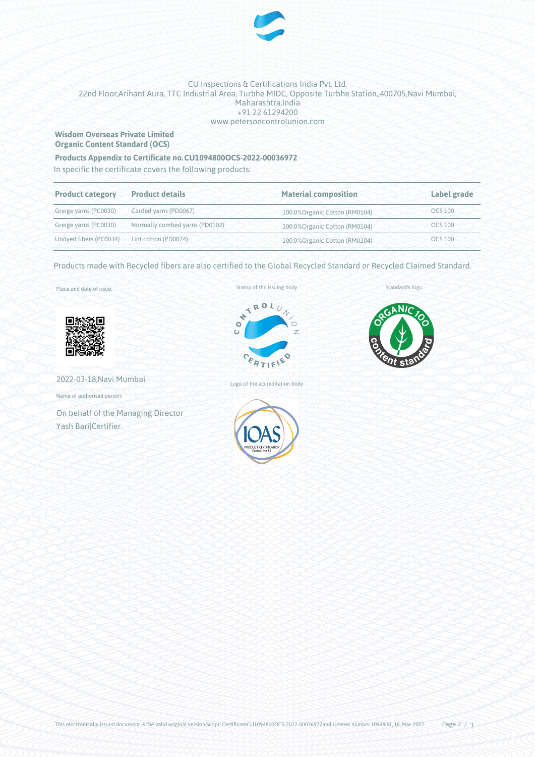

#### CU Inspections & Certifications India Pvt. Ltd. 22nd Floor,Arihant Aura, TTC Industrial Area, Turbhe MIDC, Opposite Turbhe Station,,400705,Navi Mumbai, Maharashtra,India +91 22 61294200 www.petersoncontrolunion.com

#### **Wisdom Overseas Private Limited Organic Content Standard (OCS)**

### **Products Appendix to Certificate no.CU1094800OCS-2022-00036972**

In specific the certificate covers the following products:

| <b>Product category</b>                     | <b>Product details</b>                      | <b>Material composition</b>    | Label grade    |
|---------------------------------------------|---------------------------------------------|--------------------------------|----------------|
|                                             | Greige yarns (PC0030) Carded yarns (PD0067) | 100.0% Organic Cotton (RM0104) | <b>OCS 100</b> |
| Greige yarns (PC0030)                       | Normally combed yarns (PD0102)              | 100.0% Organic Cotton (RM0104) | <b>OCS 100</b> |
| Undyed fibers (PC0034) Lint cotton (PD0074) |                                             | 100.0% Organic Cotton (RM0104) | <b>OCS 100</b> |

Products made with Recycled fibers are also certified to the Global Recycled Standard or Recycled Claimed Standard.

Place and date of issue:



2022-03-18,Navi Mumbai

Name of authorised person:

On behalf of the Managing Director Yash Bari|Certifier

Stamp of the issuing body



Logo of the accreditation body



Standard's logo

.NJ